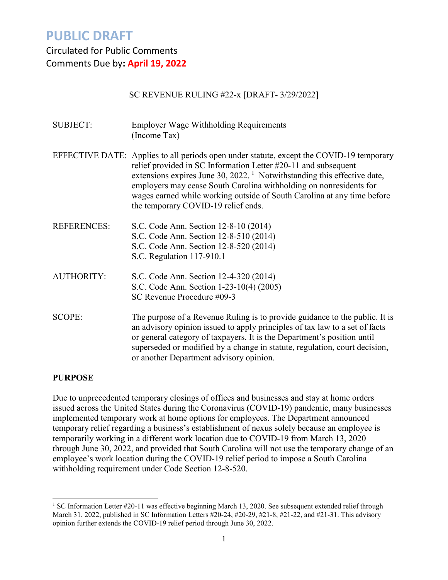### Circulated for Public Comments Comments Due by**: April 19, 2022**

### SC REVENUE RULING #22-x [DRAFT- 3/29/2022]

SUBJECT: Employer Wage Withholding Requirements (Income Tax) EFFECTIVE DATE: Applies to all periods open under statute, except the COVID-19 temporary relief provided in SC Information Letter #20-11 and subsequent extensions expires June  $30, 2022$ .<sup>[1](#page-0-0)</sup> Notwithstanding this effective date, employers may cease South Carolina withholding on nonresidents for wages earned while working outside of South Carolina at any time before the temporary COVID-19 relief ends. REFERENCES: S.C. Code Ann. Section 12-8-10 (2014) S.C. Code Ann. Section 12-8-510 (2014) S.C. Code Ann. Section 12-8-520 (2014) S.C. Regulation 117-910.1 AUTHORITY: S.C. Code Ann. Section 12-4-320 (2014) S.C. Code Ann. Section 1-23-10(4) (2005) SC Revenue Procedure #09-3 SCOPE: The purpose of a Revenue Ruling is to provide guidance to the public. It is an advisory opinion issued to apply principles of tax law to a set of facts or general category of taxpayers. It is the Department's position until superseded or modified by a change in statute, regulation, court decision,

#### **PURPOSE**

Due to unprecedented temporary closings of offices and businesses and stay at home orders issued across the United States during the Coronavirus (COVID-19) pandemic, many businesses implemented temporary work at home options for employees. The Department announced temporary relief regarding a business's establishment of nexus solely because an employee is temporarily working in a different work location due to COVID-19 from March 13, 2020 through June 30, 2022, and provided that South Carolina will not use the temporary change of an employee's work location during the COVID-19 relief period to impose a South Carolina withholding requirement under Code Section 12-8-520.

or another Department advisory opinion.

<span id="page-0-0"></span><sup>&</sup>lt;sup>1</sup> SC Information Letter #20-11 was effective beginning March 13, 2020. See subsequent extended relief through March 31, 2022, published in SC Information Letters #20-24, #20-29, #21-8, #21-22, and #21-31. This advisory opinion further extends the COVID-19 relief period through June 30, 2022.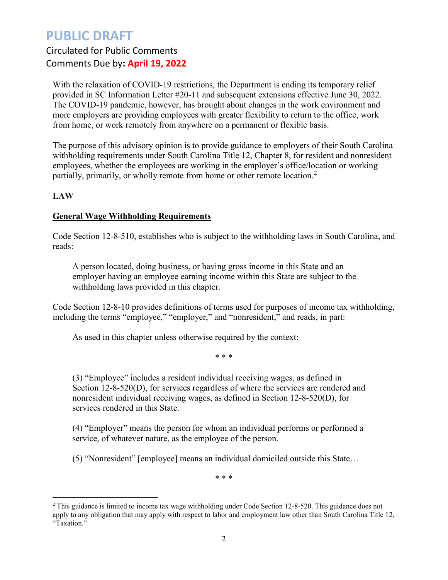## Circulated for Public Comments Comments Due by**: April 19, 2022**

With the relaxation of COVID-19 restrictions, the Department is ending its temporary relief provided in SC Information Letter #20-11 and subsequent extensions effective June 30, 2022. The COVID-19 pandemic, however, has brought about changes in the work environment and more employers are providing employees with greater flexibility to return to the office, work from home, or work remotely from anywhere on a permanent or flexible basis.

The purpose of this advisory opinion is to provide guidance to employers of their South Carolina withholding requirements under South Carolina Title 12, Chapter 8, for resident and nonresident employees, whether the employees are working in the employer's office/location or working partially, primarily, or wholly remote from home or other remote location.<sup>[2](#page-1-0)</sup>

### **LAW**

### **General Wage Withholding Requirements**

Code Section 12-8-510, establishes who is subject to the withholding laws in South Carolina, and reads:

A person located, doing business, or having gross income in this State and an employer having an employee earning income within this State are subject to the withholding laws provided in this chapter.

Code Section 12-8-10 provides definitions of terms used for purposes of income tax withholding, including the terms "employee," "employer," and "nonresident," and reads, in part:

As used in this chapter unless otherwise required by the context:

\* \* \*

(3) "Employee" includes a resident individual receiving wages, as defined in Section 12-8-520(D), for services regardless of where the services are rendered and nonresident individual receiving wages, as defined in Section 12-8-520(D), for services rendered in this State.

(4) "Employer" means the person for whom an individual performs or performed a service, of whatever nature, as the employee of the person.

(5) "Nonresident" [employee] means an individual domiciled outside this State…

\* \* \*

<span id="page-1-0"></span> $\overline{a}$ <sup>2</sup> This guidance is limited to income tax wage withholding under Code Section 12-8-520. This guidance does not apply to any obligation that may apply with respect to labor and employment law other than South Carolina Title 12, "Taxation."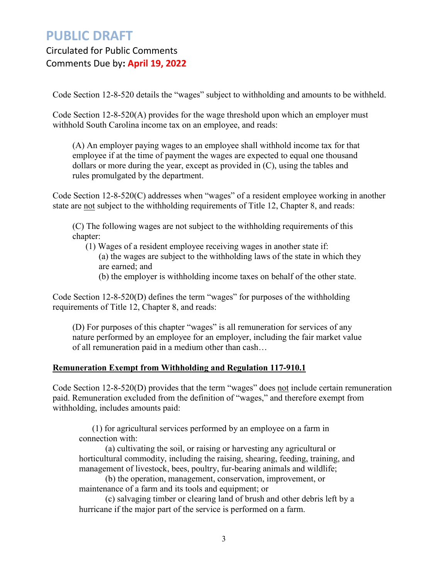Circulated for Public Comments Comments Due by**: April 19, 2022**

Code Section 12-8-520 details the "wages" subject to withholding and amounts to be withheld.

Code Section 12-8-520(A) provides for the wage threshold upon which an employer must withhold South Carolina income tax on an employee, and reads:

(A) An employer paying wages to an employee shall withhold income tax for that employee if at the time of payment the wages are expected to equal one thousand dollars or more during the year, except as provided in (C), using the tables and rules promulgated by the department.

Code Section 12-8-520(C) addresses when "wages" of a resident employee working in another state are not subject to the withholding requirements of Title 12, Chapter 8, and reads:

(C) The following wages are not subject to the withholding requirements of this chapter:

(1) Wages of a resident employee receiving wages in another state if: (a) the wages are subject to the withholding laws of the state in which they are earned; and (b) the employer is withholding income taxes on behalf of the other state.

Code Section 12-8-520(D) defines the term "wages" for purposes of the withholding requirements of Title 12, Chapter 8, and reads:

(D) For purposes of this chapter "wages" is all remuneration for services of any nature performed by an employee for an employer, including the fair market value of all remuneration paid in a medium other than cash…

#### **Remuneration Exempt from Withholding and Regulation 117-910.1**

Code Section 12-8-520(D) provides that the term "wages" does not include certain remuneration paid. Remuneration excluded from the definition of "wages," and therefore exempt from withholding, includes amounts paid:

(1) for agricultural services performed by an employee on a farm in connection with:

(a) cultivating the soil, or raising or harvesting any agricultural or horticultural commodity, including the raising, shearing, feeding, training, and management of livestock, bees, poultry, fur-bearing animals and wildlife;

(b) the operation, management, conservation, improvement, or maintenance of a farm and its tools and equipment; or

(c) salvaging timber or clearing land of brush and other debris left by a hurricane if the major part of the service is performed on a farm.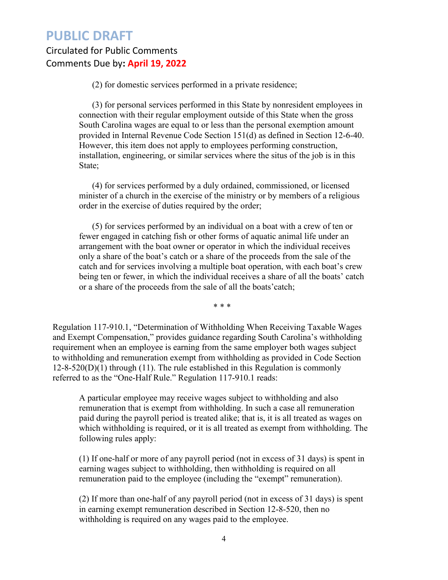### Circulated for Public Comments Comments Due by**: April 19, 2022**

(2) for domestic services performed in a private residence;

(3) for personal services performed in this State by nonresident employees in connection with their regular employment outside of this State when the gross South Carolina wages are equal to or less than the personal exemption amount provided in Internal Revenue Code Section 151(d) as defined in Section 12-6-40. However, this item does not apply to employees performing construction, installation, engineering, or similar services where the situs of the job is in this State;

(4) for services performed by a duly ordained, commissioned, or licensed minister of a church in the exercise of the ministry or by members of a religious order in the exercise of duties required by the order;

(5) for services performed by an individual on a boat with a crew of ten or fewer engaged in catching fish or other forms of aquatic animal life under an arrangement with the boat owner or operator in which the individual receives only a share of the boat's catch or a share of the proceeds from the sale of the catch and for services involving a multiple boat operation, with each boat's crew being ten or fewer, in which the individual receives a share of all the boats' catch or a share of the proceeds from the sale of all the boats'catch;

\* \* \*

Regulation 117-910.1, "Determination of Withholding When Receiving Taxable Wages and Exempt Compensation," provides guidance regarding South Carolina's withholding requirement when an employee is earning from the same employer both wages subject to withholding and remuneration exempt from withholding as provided in Code Section  $12-8-520(D)(1)$  through (11). The rule established in this Regulation is commonly referred to as the "One-Half Rule." Regulation 117-910.1 reads:

A particular employee may receive wages subject to withholding and also remuneration that is exempt from withholding. In such a case all remuneration paid during the payroll period is treated alike; that is, it is all treated as wages on which withholding is required, or it is all treated as exempt from withholding. The following rules apply:

(1) If one-half or more of any payroll period (not in excess of 31 days) is spent in earning wages subject to withholding, then withholding is required on all remuneration paid to the employee (including the "exempt" remuneration).

(2) If more than one-half of any payroll period (not in excess of 31 days) is spent in earning exempt remuneration described in Section 12-8-520, then no withholding is required on any wages paid to the employee.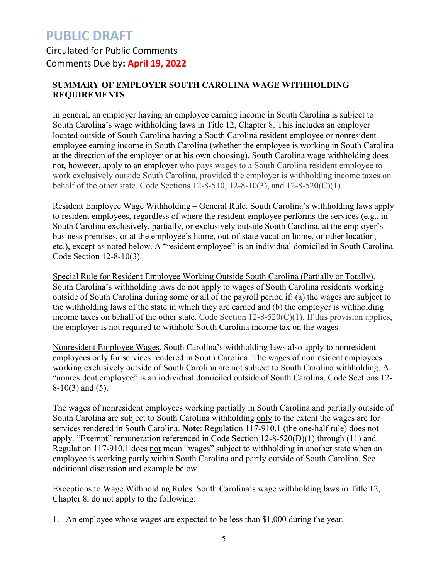### Circulated for Public Comments Comments Due by**: April 19, 2022**

### **SUMMARY OF EMPLOYER SOUTH CAROLINA WAGE WITHHOLDING REQUIREMENTS**

In general, an employer having an employee earning income in South Carolina is subject to South Carolina's wage withholding laws in Title 12, Chapter 8. This includes an employer located outside of South Carolina having a South Carolina resident employee or nonresident employee earning income in South Carolina (whether the employee is working in South Carolina at the direction of the employer or at his own choosing). South Carolina wage withholding does not, however, apply to an employer who pays wages to a South Carolina resident employee to work exclusively outside South Carolina, provided the employer is withholding income taxes on behalf of the other state. Code Sections 12-8-510, 12-8-10(3), and 12-8-520(C)(1).

Resident Employee Wage Withholding – General Rule. South Carolina's withholding laws apply to resident employees, regardless of where the resident employee performs the services (e.g., in South Carolina exclusively, partially, or exclusively outside South Carolina, at the employer's business premises, or at the employee's home, out-of-state vacation home, or other location, etc.), except as noted below. A "resident employee" is an individual domiciled in South Carolina. Code Section 12-8-10(3).

Special Rule for Resident Employee Working Outside South Carolina (Partially or Totally). South Carolina's withholding laws do not apply to wages of South Carolina residents working outside of South Carolina during some or all of the payroll period if: (a) the wages are subject to the withholding laws of the state in which they are earned and (b) the employer is withholding income taxes on behalf of the other state. Code Section  $12-8-520(C)(1)$ . If this provision applies, the employer is not required to withhold South Carolina income tax on the wages.

Nonresident Employee Wages. South Carolina's withholding laws also apply to nonresident employees only for services rendered in South Carolina. The wages of nonresident employees working exclusively outside of South Carolina are not subject to South Carolina withholding. A "nonresident employee" is an individual domiciled outside of South Carolina. Code Sections 12- 8-10(3) and (5).

The wages of nonresident employees working partially in South Carolina and partially outside of South Carolina are subject to South Carolina withholding only to the extent the wages are for services rendered in South Carolina. **Note**: Regulation 117-910.1 (the one-half rule) does not apply. "Exempt" remuneration referenced in Code Section 12-8-520(D)(1) through (11) and Regulation 117-910.1 does not mean "wages" subject to withholding in another state when an employee is working partly within South Carolina and partly outside of South Carolina. See additional discussion and example below.

Exceptions to Wage Withholding Rules. South Carolina's wage withholding laws in Title 12, Chapter 8, do not apply to the following:

1. An employee whose wages are expected to be less than \$1,000 during the year.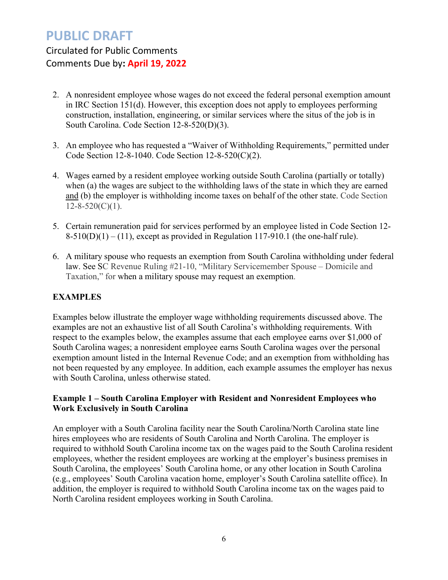Circulated for Public Comments Comments Due by**: April 19, 2022**

- 2. A nonresident employee whose wages do not exceed the federal personal exemption amount in IRC Section 151(d). However, this exception does not apply to employees performing construction, installation, engineering, or similar services where the situs of the job is in South Carolina. Code Section 12-8-520(D)(3).
- 3. An employee who has requested a "Waiver of Withholding Requirements," permitted under Code Section 12-8-1040. Code Section 12-8-520(C)(2).
- 4. Wages earned by a resident employee working outside South Carolina (partially or totally) when (a) the wages are subject to the withholding laws of the state in which they are earned and (b) the employer is withholding income taxes on behalf of the other state. Code Section  $12 - 8 - 520(C)(1)$ .
- 5. Certain remuneration paid for services performed by an employee listed in Code Section 12-  $8-510(D)(1) - (11)$ , except as provided in Regulation 117-910.1 (the one-half rule).
- 6. A military spouse who requests an exemption from South Carolina withholding under federal law. See SC Revenue Ruling #21-10, "Military Servicemember Spouse – Domicile and Taxation," for when a military spouse may request an exemption.

### **EXAMPLES**

Examples below illustrate the employer wage withholding requirements discussed above. The examples are not an exhaustive list of all South Carolina's withholding requirements. With respect to the examples below, the examples assume that each employee earns over \$1,000 of South Carolina wages; a nonresident employee earns South Carolina wages over the personal exemption amount listed in the Internal Revenue Code; and an exemption from withholding has not been requested by any employee. In addition, each example assumes the employer has nexus with South Carolina, unless otherwise stated.

### **Example 1 – South Carolina Employer with Resident and Nonresident Employees who Work Exclusively in South Carolina**

An employer with a South Carolina facility near the South Carolina/North Carolina state line hires employees who are residents of South Carolina and North Carolina. The employer is required to withhold South Carolina income tax on the wages paid to the South Carolina resident employees, whether the resident employees are working at the employer's business premises in South Carolina, the employees' South Carolina home, or any other location in South Carolina (e.g., employees' South Carolina vacation home, employer's South Carolina satellite office). In addition, the employer is required to withhold South Carolina income tax on the wages paid to North Carolina resident employees working in South Carolina.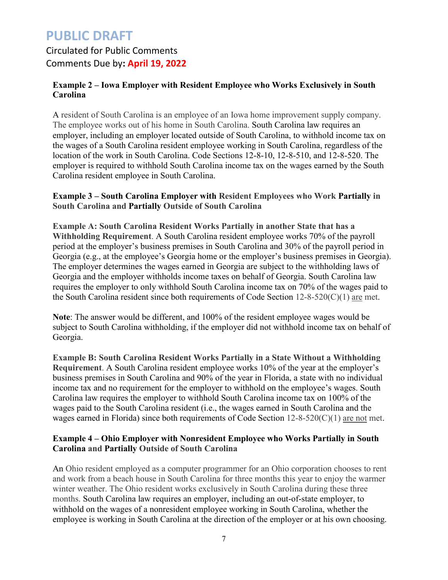### Circulated for Public Comments Comments Due by**: April 19, 2022**

### **Example 2 – Iowa Employer with Resident Employee who Works Exclusively in South Carolina**

A resident of South Carolina is an employee of an Iowa home improvement supply company. The employee works out of his home in South Carolina. South Carolina law requires an employer, including an employer located outside of South Carolina, to withhold income tax on the wages of a South Carolina resident employee working in South Carolina, regardless of the location of the work in South Carolina. Code Sections 12-8-10, 12-8-510, and 12-8-520. The employer is required to withhold South Carolina income tax on the wages earned by the South Carolina resident employee in South Carolina.

### **Example 3 – South Carolina Employer with Resident Employees who Work Partially in South Carolina and Partially Outside of South Carolina**

**Example A: South Carolina Resident Works Partially in another State that has a Withholding Requirement**. A South Carolina resident employee works 70% of the payroll period at the employer's business premises in South Carolina and 30% of the payroll period in Georgia (e.g., at the employee's Georgia home or the employer's business premises in Georgia). The employer determines the wages earned in Georgia are subject to the withholding laws of Georgia and the employer withholds income taxes on behalf of Georgia. South Carolina law requires the employer to only withhold South Carolina income tax on 70% of the wages paid to the South Carolina resident since both requirements of Code Section 12-8-520(C)(1) are met.

**Note**: The answer would be different, and 100% of the resident employee wages would be subject to South Carolina withholding, if the employer did not withhold income tax on behalf of Georgia.

**Example B: South Carolina Resident Works Partially in a State Without a Withholding Requirement**. A South Carolina resident employee works 10% of the year at the employer's business premises in South Carolina and 90% of the year in Florida, a state with no individual income tax and no requirement for the employer to withhold on the employee's wages. South Carolina law requires the employer to withhold South Carolina income tax on 100% of the wages paid to the South Carolina resident (i.e., the wages earned in South Carolina and the wages earned in Florida) since both requirements of Code Section  $12-8-520(C)(1)$  are not met.

### **Example 4 – Ohio Employer with Nonresident Employee who Works Partially in South Carolina and Partially Outside of South Carolina**

An Ohio resident employed as a computer programmer for an Ohio corporation chooses to rent and work from a beach house in South Carolina for three months this year to enjoy the warmer winter weather. The Ohio resident works exclusively in South Carolina during these three months. South Carolina law requires an employer, including an out-of-state employer, to withhold on the wages of a nonresident employee working in South Carolina, whether the employee is working in South Carolina at the direction of the employer or at his own choosing.